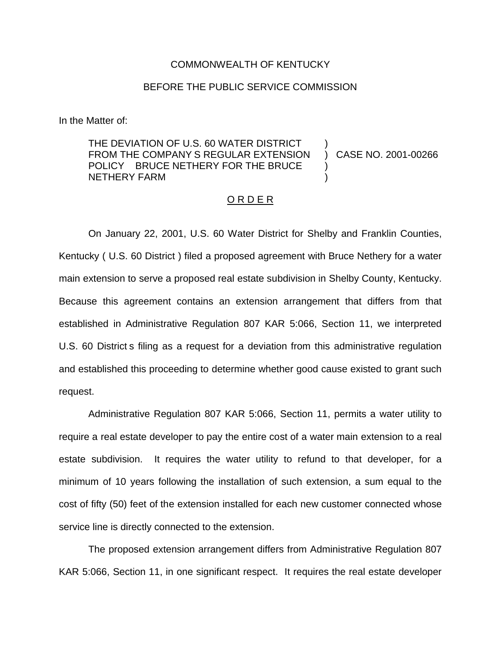## COMMONWEALTH OF KENTUCKY

## BEFORE THE PUBLIC SERVICE COMMISSION

In the Matter of:

THE DEVIATION OF U.S. 60 WATER DISTRICT FROM THE COMPANY S REGULAR EXTENSION POLICY BRUCE NETHERY FOR THE BRUCE NETHERY FARM ) ) )

) CASE NO. 2001-00266

## O R D E R

On January 22, 2001, U.S. 60 Water District for Shelby and Franklin Counties, Kentucky ( U.S. 60 District ) filed a proposed agreement with Bruce Nethery for a water main extension to serve a proposed real estate subdivision in Shelby County, Kentucky. Because this agreement contains an extension arrangement that differs from that established in Administrative Regulation 807 KAR 5:066, Section 11, we interpreted U.S. 60 District s filing as a request for a deviation from this administrative regulation and established this proceeding to determine whether good cause existed to grant such request.

Administrative Regulation 807 KAR 5:066, Section 11, permits a water utility to require a real estate developer to pay the entire cost of a water main extension to a real estate subdivision. It requires the water utility to refund to that developer, for a minimum of 10 years following the installation of such extension, a sum equal to the cost of fifty (50) feet of the extension installed for each new customer connected whose service line is directly connected to the extension.

The proposed extension arrangement differs from Administrative Regulation 807 KAR 5:066, Section 11, in one significant respect. It requires the real estate developer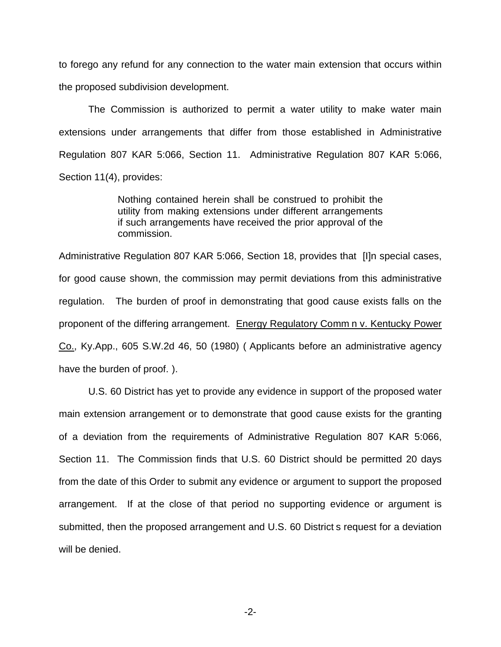to forego any refund for any connection to the water main extension that occurs within the proposed subdivision development.

The Commission is authorized to permit a water utility to make water main extensions under arrangements that differ from those established in Administrative Regulation 807 KAR 5:066, Section 11. Administrative Regulation 807 KAR 5:066, Section 11(4), provides:

> Nothing contained herein shall be construed to prohibit the utility from making extensions under different arrangements if such arrangements have received the prior approval of the commission.

Administrative Regulation 807 KAR 5:066, Section 18, provides that [I]n special cases, for good cause shown, the commission may permit deviations from this administrative regulation. The burden of proof in demonstrating that good cause exists falls on the proponent of the differing arrangement. Energy Regulatory Comm n v. Kentucky Power Co., Ky.App., 605 S.W.2d 46, 50 (1980) ( Applicants before an administrative agency have the burden of proof. ).

U.S. 60 District has yet to provide any evidence in support of the proposed water main extension arrangement or to demonstrate that good cause exists for the granting of a deviation from the requirements of Administrative Regulation 807 KAR 5:066, Section 11. The Commission finds that U.S. 60 District should be permitted 20 days from the date of this Order to submit any evidence or argument to support the proposed arrangement. If at the close of that period no supporting evidence or argument is submitted, then the proposed arrangement and U.S. 60 District s request for a deviation will be denied.

-2-